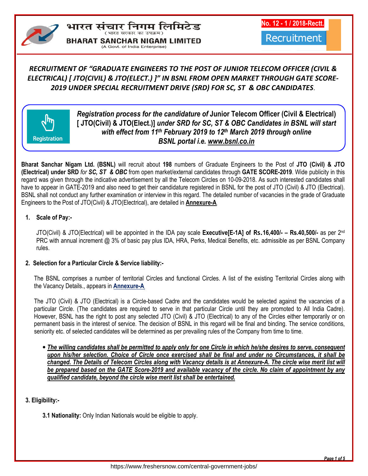# भारत संचार निगम लिमिटेड **BHARAT SANCHAR NIGAM LIMITED**

(A Govt. of India Enterprise)

**No. 12 - 1 / 2018-Rectt.**

Recruitment

# *RECRUITMENT OF "GRADUATE ENGINEERS TO THE POST OF JUNIOR TELECOM OFFICER (CIVIL & ELECTRICAL) [ JTO(CIVIL) & JTO(ELECT.) ]" IN BSNL FROM OPEN MARKET THROUGH GATE SCORE-2019 UNDER SPECIAL RECRUITMENT DRIVE (SRD) FOR SC, ST & OBC CANDIDATES*.



*Registration process for the candidature of* **Junior Telecom Officer (Civil & Electrical) [ JTO(Civil) & JTO(Elect.)]** *under SRD for SC, ST & OBC Candidates in BSNL will start with effect from 11th February 2019 to 12th March 2019 through online BSNL portal i.e. www.bsnl.co.in*

**Bharat Sanchar Nigam Ltd. (BSNL)** will recruit about **198** numbers of Graduate Engineers to the Post of **JTO (Civil) & JTO (Electrical) under SRD** *for SC, ST & OBC* from open market/external candidates through **GATE SCORE-2019**. Wide publicity in this regard was given through the indicative advertisement by all the Telecom Circles on 10-09-2018. As such interested candidates shall have to appear in GATE-2019 and also need to get their candidature registered in BSNL for the post of JTO (Civil) & JTO (Electrical). BSNL shall not conduct any further examination or interview in this regard. The detailed number of vacancies in the grade of Graduate Engineers to the Post of JTO(Civil) & JTO(Electrical), are detailed in **Annexure-A.**

# **1. Scale of Pay:-**

JTO(Civil) & JTO(Electrical) will be appointed in the IDA pay scale **Executive[E-1A] of Rs.16,400/- – Rs.40,500/-** as per 2nd PRC with annual increment @ 3% of basic pay plus IDA, HRA, Perks, Medical Benefits, etc. admissible as per BSNL Company rules.

# **2. Selection for a Particular Circle & Service liability:-**

The BSNL comprises a number of territorial Circles and functional Circles. A list of the existing Territorial Circles along with the Vacancy Details., appears in **Annexure-A.**

The JTO (Civil) & JTO (Electrical) is a Circle-based Cadre and the candidates would be selected against the vacancies of a particular Circle. (The candidates are required to serve in that particular Circle until they are promoted to All India Cadre). However, BSNL has the right to post any selected JTO (Civil) & JTO (Electrical) to any of the Circles either temporarily or on permanent basis in the interest of service. The decision of BSNL in this regard will be final and binding. The service conditions, seniority etc. of selected candidates will be determined as per prevailing rules of the Company from time to time.

• *The willing candidates shall be permitted to apply only for one Circle in which he/she desires to serve, consequent upon his/her selection. Choice of Circle once exercised shall be final and under no Circumstances, it shall be changed. The Details of Telecom Circles along with Vacancy details is at Annexure-A. The circle wise merit list will be prepared based on the GATE Score-2019 and available vacancy of the circle. No claim of appointment by any qualified candidate, beyond the circle wise merit list shall be entertained.* 

**3. Eligibility:-** 

**3.1 Nationality:** Only Indian Nationals would be eligible to apply.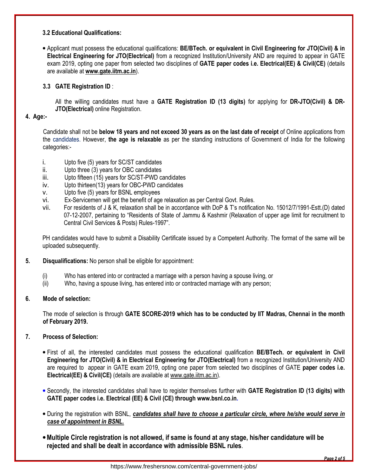### **3.2 Educational Qualifications:**

• Applicant must possess the educational qualifications: **BE/BTech. or equivalent in Civil Engineering for JTO(Civil) & in Electrical Engineering for JTO(Electrical)** from a recognized Institution/University AND are required to appear in GATE exam 2019, opting one paper from selected two disciplines of **GATE paper codes i.e. Electrical(EE) & Civil(CE)** (details are available at **www.gate.iitm.ac.in**).

# **3.3 GATE Registration ID** :

All the willing candidates must have a **GATE Registration ID (13 digits)** for applying for **DR-JTO(Civil) & DR-JTO(Electrical)** online Registration.

#### **4. Age:-**

Candidate shall not be **below 18 years and not exceed 30 years as on the last date of receipt** of Online applications from the candidates. However, **the age is relaxable** as per the standing instructions of Government of India for the following categories:-

- i. Upto five (5) years for SC/ST candidates
- ii. Upto three (3) years for OBC candidates
- iii. Upto fifteen (15) years for SC/ST-PWD candidates
- iv. Upto thirteen(13) years for OBC-PWD candidates
- v. Upto five (5) years for BSNL employees
- vi. Ex-Servicemen will get the benefit of age relaxation as per Central Govt. Rules.
- vii. For residents of J & K, relaxation shall be in accordance with DoP & T's notification No. 15012/7/1991-Estt.(D) dated 07-12-2007, pertaining to "Residents of State of Jammu & Kashmir (Relaxation of upper age limit for recruitment to Central Civil Services & Posts) Rules-1997".

PH candidates would have to submit a Disability Certificate issued by a Competent Authority. The format of the same will be uploaded subsequently.

- **5. Disqualifications:** No person shall be eligible for appointment:
	- (i) Who has entered into or contracted a marriage with a person having a spouse living, or
	- (ii) Who, having a spouse living, has entered into or contracted marriage with any person;

# **6. Mode of selection:**

The mode of selection is through **GATE SCORE-2019 which has to be conducted by IIT Madras, Chennai in the month of February 2019.**

# **7. Process of Selection:**

- First of all, the interested candidates must possess the educational qualification **BE/BTech. or equivalent in Civil Engineering for JTO(Civil) & in Electrical Engineering for JTO(Electrical)** from a recognized Institution/University AND are required to appear in GATE exam 2019, opting one paper from selected two disciplines of GATE **paper codes i.e. Electrical(EE) & Civil(CE)** (details are available at www.gate.iitm.ac.in).
- Secondly, the interested candidates shall have to register themselves further with **GATE Registration ID (13 digits) with GATE paper codes i.e. Electrical (EE) & Civil (CE) through www.bsnl.co.in.**
- During the registration with BSNL, *candidates shall have to choose a particular circle, where he/she would serve in case of appointment in BSNL.*
- •**Multiple Circle registration is not allowed, if same is found at any stage, his/her candidature will be rejected and shall be dealt in accordance with admissible BSNL rules**.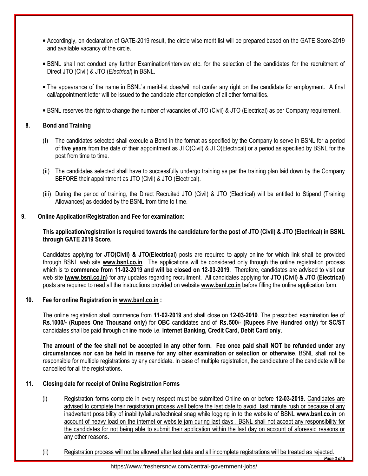- Accordingly, on declaration of GATE-2019 result, the circle wise merit list will be prepared based on the GATE Score-2019 and available vacancy of the circle.
- BSNL shall not conduct any further Examination/interview etc. for the selection of the candidates for the recruitment of Direct JTO (Civil) & JTO (*Electrical*) in BSNL.
- The appearance of the name in BSNL's merit-list does/will not confer any right on the candidate for employment. A final call/appointment letter will be issued to the candidate after completion of all other formalities.
- BSNL reserves the right to change the number of vacancies of JTO (Civil) & JTO (Electrical) as per Company requirement.

### **8. Bond and Training**

- (i) The candidates selected shall execute a Bond in the format as specified by the Company to serve in BSNL for a period of **five years** from the date of their appointment as JTO(Civil) & JTO(Electrical) or a period as specified by BSNL for the post from time to time.
- (ii) The candidates selected shall have to successfully undergo training as per the training plan laid down by the Company BEFORE their appointment as JTO (Civil) & JTO (Electrical).
- (iii) During the period of training, the Direct Recruited JTO (Civil) & JTO (Electrical) will be entitled to Stipend (Training Allowances) as decided by the BSNL from time to time.

### **9. Online Application/Registration and Fee for examination:**

**This application/registration is required towards the candidature for the post of JTO (Civil) & JTO (Electrical) in BSNL through GATE 2019 Score.** 

Candidates applying for **JTO(Civil) & JTO(Electrical)** posts are required to apply online for which link shall be provided through BSNL web site **www.bsnl.co.in**. The applications will be considered only through the online registration process which is to **commence from 11-02-2019 and will be closed on 12-03-2019**. Therefore, candidates are advised to visit our web site **(www.bsnl.co.in)** for any updates regarding recruitment. All candidates applying for **JTO (Civil) & JTO (Electrical)** posts are required to read all the instructions provided on website **www.bsnl.co.in** before filling the online application form.

#### **10. Fee for online Registration in www.bsnl.co.in :**

The online registration shall commence from **11-02-2019** and shall close on **12-03-2019**. The prescribed examination fee of **Rs.1000/- (Rupees One Thousand only)** for **OBC** candidates and of **Rs.500**/- **(Rupees Five Hundred only)** for **SC/ST** candidates shall be paid through online mode i.e. **Internet Banking, Credit Card, Debit Card only**.

**The amount of the fee shall not be accepted in any other form. Fee once paid shall NOT be refunded under any circumstances nor can be held in reserve for any other examination or selection or otherwise**. BSNL shall not be responsible for multiple registrations by any candidate. In case of multiple registration, the candidature of the candidate will be cancelled for all the registrations.

#### **11. Closing date for receipt of Online Registration Forms**

- (i) Registration forms complete in every respect must be submitted Online on or before **12-03-2019**. Candidates are advised to complete their registration process well before the last date to avoid last minute rush or because of any inadvertent possibility of inability/failure/technical snag while logging in to the website of BSNL **www.bsnl.co.in** on account of heavy load on the internet or website jam during last days . BSNL shall not accept any responsibility for the candidates for not being able to submit their application within the last day on account of aforesaid reasons or any other reasons.
- *Page 3 of 5* (ii) Registration process will not be allowed after last date and all incomplete registrations will be treated as rejected.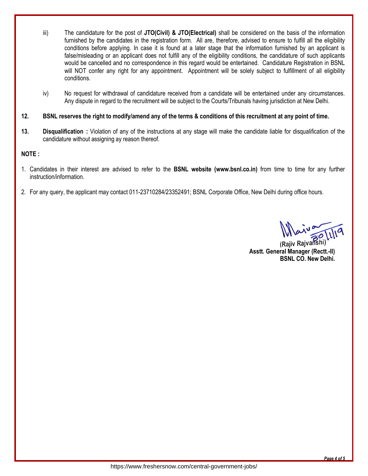- iii) The candidature for the post of **JTO(Civil) & JTO(Electrical)** shall be considered on the basis of the information furnished by the candidates in the registration form. All are, therefore, advised to ensure to fulfill all the eligibility conditions before applying. In case it is found at a later stage that the information furnished by an applicant is false/misleading or an applicant does not fulfill any of the eligibility conditions, the candidature of such applicants would be cancelled and no correspondence in this regard would be entertained. Candidature Registration in BSNL will NOT confer any right for any appointment. Appointment will be solely subject to fulfillment of all eligibility conditions.
- iv) No request for withdrawal of candidature received from a candidate will be entertained under any circumstances. Any dispute in regard to the recruitment will be subject to the Courts/Tribunals having jurisdiction at New Delhi.

# **12. BSNL reserves the right to modify/amend any of the terms & conditions of this recruitment at any point of time.**

**13. Disqualification :** Violation of any of the instructions at any stage will make the candidate liable for disqualification of the candidature without assigning ay reason thereof.

### **NOTE :**

- 1. Candidates in their interest are advised to refer to the **BSNL website (www.bsnl.co.in)** from time to time for any further instruction/information.
- 2.For any query, the applicant may contact 011-23710284/23352491; BSNL Corporate Office, New Delhi during office hours.

(Rajiv Rajvanshi) **Asstt. General Manager (Rectt.-II) BSNL CO. New Delhi.** 

*Page 4 of 5*